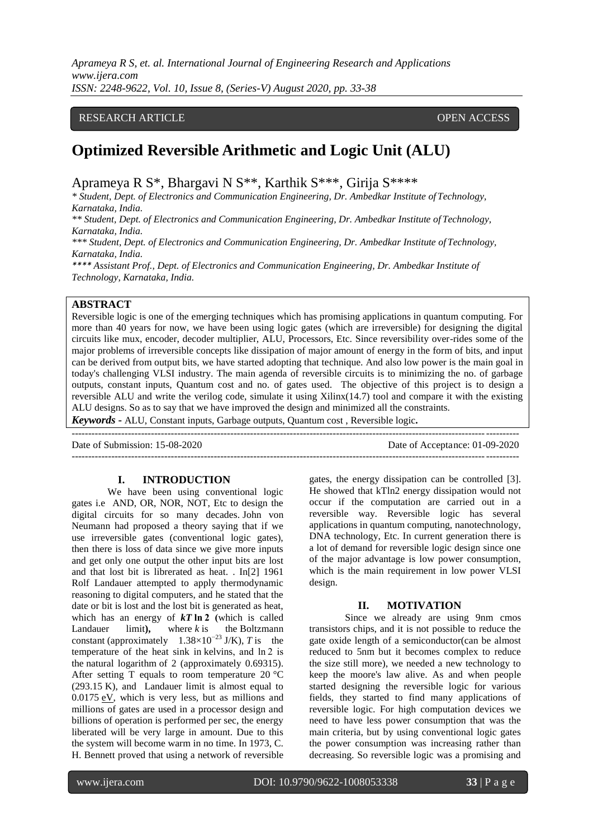# RESEARCH ARTICLE **CONSERVERS** OPEN ACCESS

# **Optimized Reversible Arithmetic and Logic Unit (ALU)**

Aprameya R S\*, Bhargavi N S\*\*, Karthik S\*\*\*, Girija S\*\*\*\*

*\* Student, Dept. of Electronics and Communication Engineering, Dr. Ambedkar Institute of Technology, Karnataka, India.*

*\*\* Student, Dept. of Electronics and Communication Engineering, Dr. Ambedkar Institute of Technology, Karnataka, India.*

*\*\*\* Student, Dept. of Electronics and Communication Engineering, Dr. Ambedkar Institute of Technology, Karnataka, India.*

*\*\*\*\* Assistant Prof., Dept. of Electronics and Communication Engineering, Dr. Ambedkar Institute of Technology, Karnataka, India.*

---------------------------------------------------------------------------------------------------------------------------------------

### **ABSTRACT**

Reversible logic is one of the emerging techniques which has promising applications in quantum computing. For more than 40 years for now, we have been using logic gates (which are irreversible) for designing the digital circuits like mux, encoder, decoder multiplier, ALU, Processors, Etc. Since reversibility over-rides some of the major problems of irreversible concepts like dissipation of major amount of energy in the form of bits, and input can be derived from output bits, we have started adopting that technique. And also low power is the main goal in today's challenging VLSI industry. The main agenda of reversible circuits is to minimizing the no. of garbage outputs, constant inputs, Quantum cost and no. of gates used. The objective of this project is to design a reversible ALU and write the verilog code, simulate it using Xilinx(14.7) tool and compare it with the existing ALU designs. So as to say that we have improved the design and minimized all the constraints.

*Keywords* **-** ALU, Constant inputs, Garbage outputs, Quantum cost , Reversible logic**.** 

Date of Submission: 15-08-2020 Date of Acceptance: 01-09-2020

---------------------------------------------------------------------------------------------------------------------------------------

#### **I. INTRODUCTION**

We have been using conventional logic gates i.e AND, OR, NOR, NOT, Etc to design the digital circuits for so many decades. [John von](https://en.wikipedia.org/wiki/John_von_Neumann)  [Neumann](https://en.wikipedia.org/wiki/John_von_Neumann) had proposed a theory saying that if we use irreversible gates (conventional logic gates), then there is loss of data since we give more inputs and get only one output the other input bits are lost and that lost bit is librerated as heat. . In[2] 1961 Rolf Landauer attempted to apply thermodynamic reasoning to digital computers, and he stated that the date or bit is lost and the lost bit is generated as heat, which has an energy of *kT* **ln 2 (**which is called Landauer limit**),** where *k* is the [Boltzmann](https://en.wikipedia.org/wiki/Boltzmann_constant)  [constant](https://en.wikipedia.org/wiki/Boltzmann_constant) (approximately 1.38×10−23 J/K), *T* is the temperature of the heat sink in [kelvins,](https://en.wikipedia.org/wiki/Kelvin) and ln 2 is the [natural logarithm](https://en.wikipedia.org/wiki/Natural_logarithm) of 2 (approximately 0.69315). After setting T equals to room temperature 20 °C (293.15 K), and Landauer limit is almost equal to  $0.0175$  [eV,](https://en.wikipedia.org/wiki/Electron_volt) which is very less, but as millions and millions of gates are used in a processor design and billions of operation is performed per sec, the energy liberated will be very large in amount. Due to this the system will become warm in no time. In 1973, C. H. Bennett proved that using a network of reversible

gates, the energy dissipation can be controlled [3]. He showed that kTln2 energy dissipation would not occur if the computation are carried out in a reversible way. Reversible logic has several applications in quantum computing, nanotechnology, DNA technology, Etc. In current generation there is a lot of demand for reversible logic design since one of the major advantage is low power consumption, which is the main requirement in low power VLSI design.

#### **II. MOTIVATION**

Since we already are using 9nm cmos transistors chips, and it is not possible to reduce the gate oxide length of a semiconductor(can be almost reduced to 5nm but it becomes complex to reduce the size still more), we needed a new technology to keep the moore's law alive. As and when people started designing the reversible logic for various fields, they started to find many applications of reversible logic. For high computation devices we need to have less power consumption that was the main criteria, but by using conventional logic gates the power consumption was increasing rather than decreasing. So reversible logic was a promising and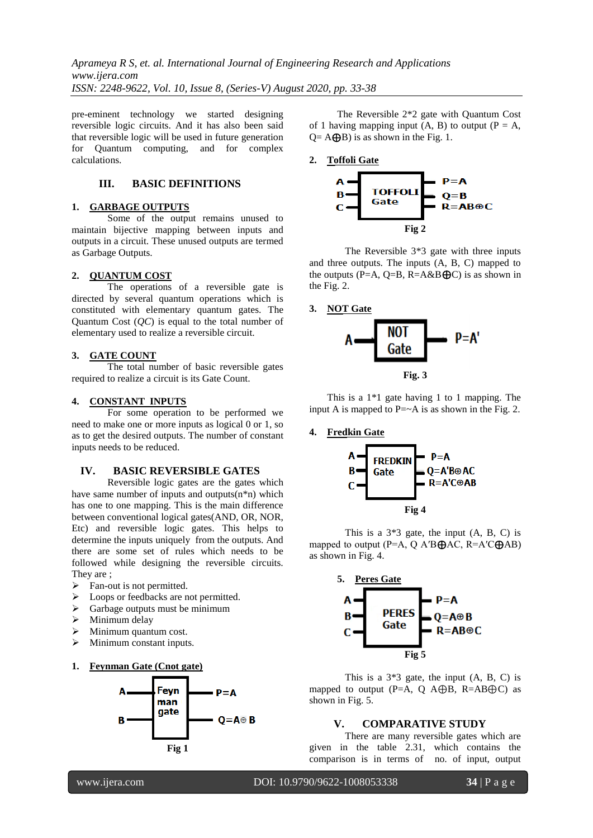*Aprameya R S, et. al. International Journal of Engineering Research and Applications www.ijera.com ISSN: 2248-9622, Vol. 10, Issue 8, (Series-V) August 2020, pp. 33-38*

pre-eminent technology we started designing reversible logic circuits. And it has also been said that reversible logic will be used in future generation for Quantum computing, and for complex calculations.

# **III. BASIC DEFINITIONS**

#### **1. GARBAGE OUTPUTS**

Some of the output remains unused to maintain bijective mapping between inputs and outputs in a circuit. These unused outputs are termed as Garbage Outputs.

#### **2. QUANTUM COST**

The operations of a reversible gate is directed by several quantum operations which is constituted with elementary quantum gates. The Quantum Cost (*QC*) is equal to the total number of elementary used to realize a reversible circuit.

#### **3. GATE COUNT**

The total number of basic reversible gates required to realize a circuit is its Gate Count.

#### **4. CONSTANT INPUTS**

For some operation to be performed we need to make one or more inputs as logical 0 or 1, so as to get the desired outputs. The number of constant inputs needs to be reduced.

#### **IV. BASIC REVERSIBLE GATES**

Reversible logic gates are the gates which have same number of inputs and outputs(n\*n) which has one to one mapping. This is the main difference between conventional logical gates(AND, OR, NOR, Etc) and reversible logic gates. This helps to determine the inputs uniquely from the outputs. And there are some set of rules which needs to be followed while designing the reversible circuits. They are ;

- $\triangleright$  Fan-out is not permitted.
- $\triangleright$  Loops or feedbacks are not permitted.
- $\triangleright$  Garbage outputs must be minimum
- $\triangleright$  Minimum delay
- Minimum quantum cost.
- > Minimum constant inputs.
- **1. Feynman Gate (Cnot gate)**



The Reversible 2\*2 gate with Quantum Cost of 1 having mapping input  $(A, B)$  to output  $(P = A,$  $Q = A \bigoplus B$ ) is as shown in the Fig. 1.

**2. Toffoli Gate**



The Reversible 3\*3 gate with three inputs and three outputs. The inputs (A, B, C) mapped to the outputs (P=A, Q=B, R=A&B $\bigoplus$ C) is as shown in the Fig. 2.

**3. NOT Gate** 



This is a 1\*1 gate having 1 to 1 mapping. The input A is mapped to  $P = \sim A$  is as shown in the Fig. 2.

#### **4. Fredkin Gate**



This is a  $3*3$  gate, the input  $(A, B, C)$  is mapped to output (P=A, Q A'B $\bigoplus$ AC, R=A'C $\bigoplus$ AB) as shown in Fig. 4.



This is a  $3*3$  gate, the input  $(A, B, C)$  is mapped to output (P=A, Q A $\oplus$ B, R=AB $\oplus$ C) as shown in Fig. 5.

#### **V. COMPARATIVE STUDY**

There are many reversible gates which are given in the table 2.31, which contains the comparison is in terms of no. of input, output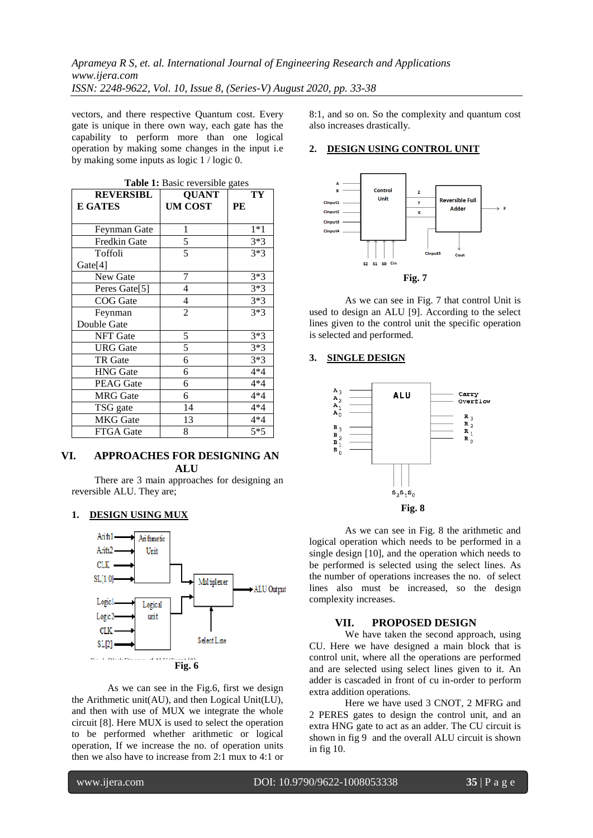vectors, and there respective Quantum cost. Every gate is unique in there own way, each gate has the capability to perform more than one logical operation by making some changes in the input i.e by making some inputs as logic 1 / logic 0.

| Table 1: Basic reversible gates |                      |       |  |  |  |
|---------------------------------|----------------------|-------|--|--|--|
| <b>REVERSIBL</b>                | <b>QUANT</b>         | TY    |  |  |  |
| <b>E GATES</b>                  | <b>UM COST</b><br>PE |       |  |  |  |
|                                 |                      |       |  |  |  |
| Feynman Gate                    | 1                    | $1*1$ |  |  |  |
| Fredkin Gate                    | 5                    | $3*3$ |  |  |  |
| Toffoli                         | 5                    | $3*3$ |  |  |  |
| Gate[4]                         |                      |       |  |  |  |
| New Gate                        | 7                    | $3*3$ |  |  |  |
| Peres Gate[5]                   | 4                    | $3*3$ |  |  |  |
| <b>COG</b> Gate                 | 4                    | $3*3$ |  |  |  |
| Feynman                         | $\overline{c}$       | $3*3$ |  |  |  |
| Double Gate                     |                      |       |  |  |  |
| <b>NFT</b> Gate                 | 5                    | $3*3$ |  |  |  |
| <b>URG</b> Gate                 | 5                    | $3*3$ |  |  |  |
| TR Gate                         | 6                    | $3*3$ |  |  |  |
| <b>HNG</b> Gate                 | 6                    | 4*4   |  |  |  |
| <b>PEAG</b> Gate                | 6                    | $4*4$ |  |  |  |
| <b>MRG</b> Gate                 | 6                    | $4*4$ |  |  |  |
| TSG gate                        | 14                   | $4*4$ |  |  |  |
| <b>MKG</b> Gate                 | 13                   | $4*4$ |  |  |  |
| FTGA Gate                       | 8                    | $5*5$ |  |  |  |

# **VI. APPROACHES FOR DESIGNING AN ALU**

There are 3 main approaches for designing an reversible ALU. They are;

### **1. DESIGN USING MUX**



As we can see in the Fig.6, first we design the Arithmetic unit(AU), and then Logical Unit(LU), and then with use of MUX we integrate the whole circuit [8]. Here MUX is used to select the operation to be performed whether arithmetic or logical operation, If we increase the no. of operation units then we also have to increase from 2:1 mux to 4:1 or 8:1, and so on. So the complexity and quantum cost also increases drastically.

#### **2. DESIGN USING CONTROL UNIT**



As we can see in Fig. 7 that control Unit is used to design an ALU [9]. According to the select lines given to the control unit the specific operation is selected and performed.

# **3. SINGLE DESIGN**



As we can see in Fig. 8 the arithmetic and logical operation which needs to be performed in a single design [10], and the operation which needs to be performed is selected using the select lines. As the number of operations increases the no. of select lines also must be increased, so the design complexity increases.

#### **VII. PROPOSED DESIGN**

We have taken the second approach, using CU. Here we have designed a main block that is control unit, where all the operations are performed and are selected using select lines given to it. An adder is cascaded in front of cu in-order to perform extra addition operations.

Here we have used 3 CNOT, 2 MFRG and 2 PERES gates to design the control unit, and an extra HNG gate to act as an adder. The CU circuit is shown in fig 9 and the overall ALU circuit is shown in fig 10.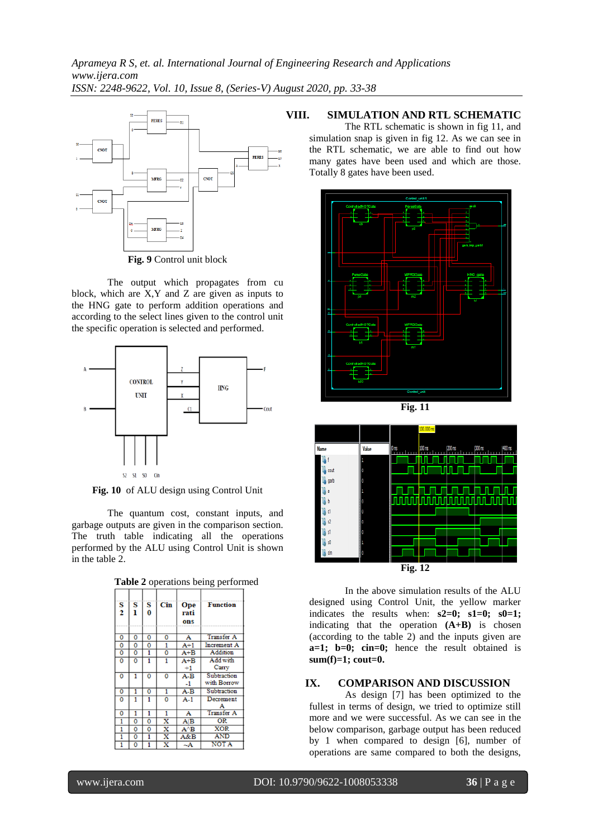*Aprameya R S, et. al. International Journal of Engineering Research and Applications www.ijera.com ISSN: 2248-9622, Vol. 10, Issue 8, (Series-V) August 2020, pp. 33-38*



**Fig. 9** Control unit block

The output which propagates from cu block, which are X,Y and Z are given as inputs to the HNG gate to perform addition operations and according to the select lines given to the control unit the specific operation is selected and performed.



**Fig. 10** of ALU design using Control Unit

The quantum cost, constant inputs, and garbage outputs are given in the comparison section. The truth table indicating all the operations performed by the ALU using Control Unit is shown in the table 2.

| Table 2 operations being performed |  |  |
|------------------------------------|--|--|
|------------------------------------|--|--|

| $\frac{S}{2}$           | S<br>ı                  | S<br>0         | Cin                     | Ope<br>rati<br>ons | <b>Function</b>            |
|-------------------------|-------------------------|----------------|-------------------------|--------------------|----------------------------|
| 0                       | 0                       | 0              | 0                       | A                  | <b>Transfer A</b>          |
| 0                       | 0                       | 0              | 1                       | $A+1$              | <b>Increment A</b>         |
| $\overline{\mathbf{0}}$ | $\overline{\mathbf{0}}$ | 1              | $\overline{\mathbf{o}}$ | $A + \overline{B}$ | Addition                   |
| 0                       | Ō                       | 1              | 1                       | $A + B$<br>$+1$    | Add with<br>Carry          |
| 0                       | 1                       | $\overline{0}$ | 0                       | $A-B$<br>$-1$      | Subtraction<br>with Borrow |
| 0                       | 1                       | 0              | 1                       | $A-B$              | Subtraction                |
| 0                       | 1                       | 1              | $\overline{0}$          | $A-1$              | Decrement                  |
| 0                       | 1                       | 1              | 1                       | A                  | <b>Transfer A</b>          |
| 1                       | 0                       | 0              | x                       | $A$ $B$            | <b>OR</b>                  |
| 1                       | 0                       | 0              | x                       | $A^{\wedge}B$      | <b>XOR</b>                 |
| 1                       | 0                       | 1              | $\overline{\mathbf{x}}$ | A&B                | <b>AND</b>                 |
| 1                       | 0                       | 1              | $\overline{\mathbf{x}}$ | $\sim$ A           | <b>NOTA</b>                |

# **VIII. SIMULATION AND RTL SCHEMATIC**

The RTL schematic is shown in fig 11, and simulation snap is given in fig 12. As we can see in the RTL schematic, we are able to find out how many gates have been used and which are those. Totally 8 gates have been used.



**Fig. 11**



In the above simulation results of the ALU designed using Control Unit, the yellow marker indicates the results when: **s2=0; s1=0; s0=1;** indicating that the operation **(A+B)** is chosen (according to the table 2) and the inputs given are **a=1; b=0; cin=0;** hence the result obtained is **sum(f)=1; cout=0.** 

# **IX. COMPARISON AND DISCUSSION**

As design [7] has been optimized to the fullest in terms of design, we tried to optimize still more and we were successful. As we can see in the below comparison, garbage output has been reduced by 1 when compared to design [6], number of operations are same compared to both the designs,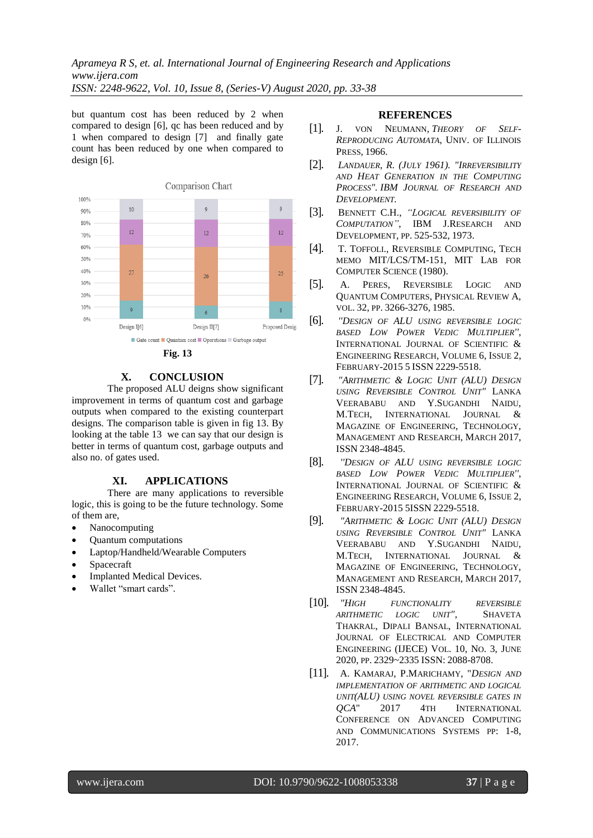but quantum cost has been reduced by 2 when compared to design [6], qc has been reduced and by 1 when compared to design [7] and finally gate count has been reduced by one when compared to design [6].





# **X. CONCLUSION**

The proposed ALU deigns show significant improvement in terms of quantum cost and garbage outputs when compared to the existing counterpart designs. The comparison table is given in fig 13. By looking at the table 13 we can say that our design is better in terms of quantum cost, garbage outputs and also no. of gates used.

### **XI. APPLICATIONS**

There are many applications to reversible logic, this is going to be the future technology. Some of them are,

- Nanocomputing
- Quantum computations
- Laptop/Handheld/Wearable Computers
- Spacecraft
- Implanted Medical Devices.
- Wallet "smart cards".

#### **REFERENCES**

- [1]. J. VON NEUMANN, *THEORY OF SELF-REPRODUCING AUTOMATA*, UNIV. OF ILLINOIS PRESS, 1966.
- [2]. *LANDAUER, R. (JULY 1961). "IRREVERSIBILITY AND HEAT GENERATION IN THE COMPUTING PROCESS". IBM JOURNAL OF RESEARCH AND DEVELOPMENT.*
- [3]. BENNETT C.H., *"LOGICAL REVERSIBILITY OF COMPUTATION"*, IBM J.RESEARCH AND DEVELOPMENT, PP. 525-532, 1973.
- [4]. T. TOFFOLI., REVERSIBLE COMPUTING, TECH MEMO MIT/LCS/TM-151, MIT LAB FOR COMPUTER SCIENCE (1980).
- [5]. A. PERES, REVERSIBLE LOGIC AND QUANTUM COMPUTERS, PHYSICAL REVIEW A, VOL. 32, PP. 3266-3276, 1985.
- [6]. *''DESIGN OF ALU USING REVERSIBLE LOGIC BASED LOW POWER VEDIC MULTIPLIER''*, INTERNATIONAL JOURNAL OF SCIENTIFIC & ENGINEERING RESEARCH, VOLUME 6, ISSUE 2, FEBRUARY-2015 5 ISSN 2229-5518.
- [7]. *"ARITHMETIC & LOGIC UNIT (ALU) DESIGN USING REVERSIBLE CONTROL UNIT"* LANKA VEERABABU AND Y.SUGANDHI NAIDU, M.TECH, INTERNATIONAL JOURNAL & MAGAZINE OF ENGINEERING, TECHNOLOGY, MANAGEMENT AND RESEARCH, MARCH 2017, ISSN 2348-4845.
- [8]. *''DESIGN OF ALU USING REVERSIBLE LOGIC BASED LOW POWER VEDIC MULTIPLIER''*, INTERNATIONAL JOURNAL OF SCIENTIFIC & ENGINEERING RESEARCH, VOLUME 6, ISSUE 2, FEBRUARY-2015 5ISSN 2229-5518.
- [9]. *"ARITHMETIC & LOGIC UNIT (ALU) DESIGN USING REVERSIBLE CONTROL UNIT"* LANKA VEERABABU AND Y.SUGANDHI NAIDU, M.TECH, INTERNATIONAL JOURNAL & MAGAZINE OF ENGINEERING, TECHNOLOGY, MANAGEMENT AND RESEARCH, MARCH 2017, ISSN 2348-4845.
- [10]. *"HIGH FUNCTIONALITY REVERSIBLE ARITHMETIC LOGIC UNIT",* SHAVETA THAKRAL, DIPALI BANSAL, INTERNATIONAL JOURNAL OF ELECTRICAL AND COMPUTER ENGINEERING (IJECE) VOL. 10, NO. 3, JUNE 2020, PP. 2329~2335 ISSN: 2088-8708.
- [11]. A. KAMARAJ, P.MARICHAMY, "*DESIGN AND IMPLEMENTATION OF ARITHMETIC AND LOGICAL UNIT(ALU) USING NOVEL REVERSIBLE GATES IN QCA*" 2017 4TH INTERNATIONAL CONFERENCE ON ADVANCED COMPUTING AND COMMUNICATIONS SYSTEMS PP: 1-8, 2017.